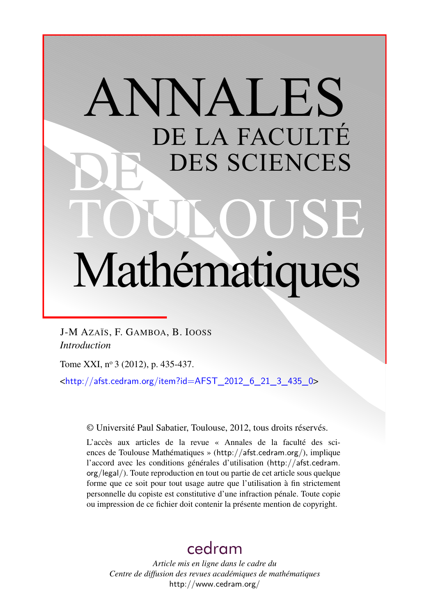# ANNALES DE LA FACULTÉ DES SCIENCES Mathématiques

J-M AZAÏS, F. GAMBOA, B. IOOSS *Introduction*

Tome XXI, nº 3 (2012), p. 435-437.

 $\text{chttp:}/\text{/afst.cedram.org/item?id=AFST}$  2012 6 21 3 435 0>

© Université Paul Sabatier, Toulouse, 2012, tous droits réservés.

L'accès aux articles de la revue « Annales de la faculté des sciences de Toulouse Mathématiques » (<http://afst.cedram.org/>), implique l'accord avec les conditions générales d'utilisation ([http://afst.cedram.](http://afst.cedram.org/legal/) [org/legal/](http://afst.cedram.org/legal/)). Toute reproduction en tout ou partie de cet article sous quelque forme que ce soit pour tout usage autre que l'utilisation à fin strictement personnelle du copiste est constitutive d'une infraction pénale. Toute copie ou impression de ce fichier doit contenir la présente mention de copyright.

## [cedram](http://www.cedram.org/)

*Article mis en ligne dans le cadre du Centre de diffusion des revues académiques de mathématiques* <http://www.cedram.org/>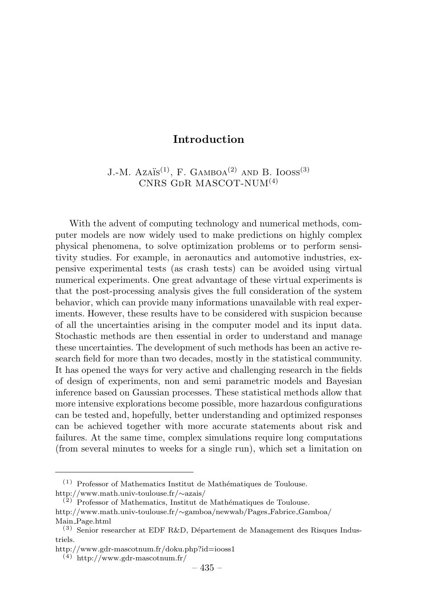### Introduction

J.-M. Azaïs<sup>(1)</sup>, F. GAMBOA<sup>(2)</sup> AND B. IOOSS<sup>(3)</sup>  $CNRS$  GDR MASCOT-NUM $(4)$ 

With the advent of computing technology and numerical methods, computer models are now widely used to make predictions on highly complex physical phenomena, to solve optimization problems or to perform sensitivity studies. For example, in aeronautics and automotive industries, expensive experimental tests (as crash tests) can be avoided using virtual numerical experiments. One great advantage of these virtual experiments is that the post-processing analysis gives the full consideration of the system behavior, which can provide many informations unavailable with real experiments. However, these results have to be considered with suspicion because of all the uncertainties arising in the computer model and its input data. Stochastic methods are then essential in order to understand and manage these uncertainties. The development of such methods has been an active research field for more than two decades, mostly in the statistical community. It has opened the ways for very active and challenging research in the fields of design of experiments, non and semi parametric models and Bayesian inference based on Gaussian processes. These statistical methods allow that more intensive explorations become possible, more hazardous configurations can be tested and, hopefully, better understanding and optimized responses can be achieved together with more accurate statements about risk and failures. At the same time, complex simulations require long computations (from several minutes to weeks for a single run), which set a limitation on

 $(1)$  Professor of Mathematics Institut de Mathématiques de Toulouse. http://www.math.univ-toulouse.fr/∼azais/

 $(2)$  Professor of Mathematics, Institut de Mathématiques de Toulouse. http://www.math.univ-toulouse.fr/∼gamboa/newwab/Pages Fabrice Gamboa/ Main Page.html

 $(3)$  Senior researcher at EDF R&D, Département de Management des Risques Industriels.

http://www.gdr-mascotnum.fr/doku.php?id=iooss1

<sup>(4)</sup> http://www.gdr-mascotnum.fr/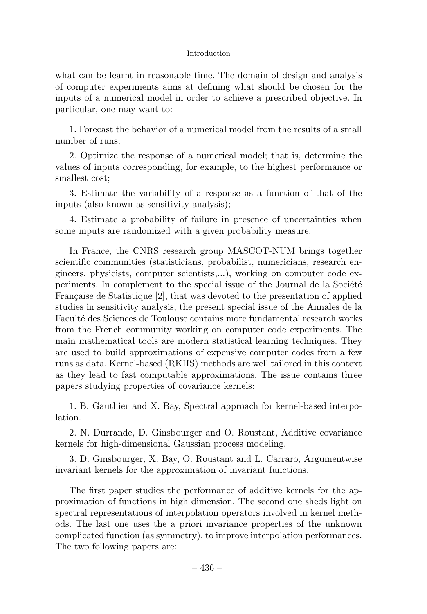#### Introduction

what can be learnt in reasonable time. The domain of design and analysis of computer experiments aims at defining what should be chosen for the inputs of a numerical model in order to achieve a prescribed objective. In particular, one may want to:

1. Forecast the behavior of a numerical model from the results of a small number of runs;

2. Optimize the response of a numerical model; that is, determine the values of inputs corresponding, for example, to the highest performance or smallest cost;

3. Estimate the variability of a response as a function of that of the inputs (also known as sensitivity analysis);

4. Estimate a probability of failure in presence of uncertainties when some inputs are randomized with a given probability measure.

In France, the CNRS research group MASCOT-NUM brings together scientific communities (statisticians, probabilist, numericians, research engineers, physicists, computer scientists,...), working on computer code experiments. In complement to the special issue of the Journal de la Société Française de Statistique [2], that was devoted to the presentation of applied studies in sensitivity analysis, the present special issue of the Annales de la Facult´e des Sciences de Toulouse contains more fundamental research works from the French community working on computer code experiments. The main mathematical tools are modern statistical learning techniques. They are used to build approximations of expensive computer codes from a few runs as data. Kernel-based (RKHS) methods are well tailored in this context as they lead to fast computable approximations. The issue contains three papers studying properties of covariance kernels:

1. B. Gauthier and X. Bay, Spectral approach for kernel-based interpolation.

2. N. Durrande, D. Ginsbourger and O. Roustant, Additive covariance kernels for high-dimensional Gaussian process modeling.

3. D. Ginsbourger, X. Bay, O. Roustant and L. Carraro, Argumentwise invariant kernels for the approximation of invariant functions.

The first paper studies the performance of additive kernels for the approximation of functions in high dimension. The second one sheds light on spectral representations of interpolation operators involved in kernel methods. The last one uses the a priori invariance properties of the unknown complicated function (as symmetry), to improve interpolation performances. The two following papers are: